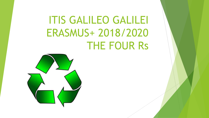### ITIS GALILEO GALILEI ERASMUS+ 2018/2020 THE FOUR Rs

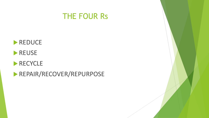





#### RECYCLE

**REPAIR/RECOVER/REPURPOSE**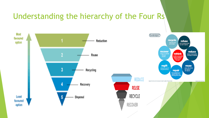#### Understanding the hierarchy of the Four Rs

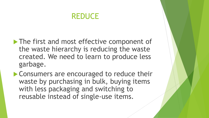#### REDUCE

- The first and most effective component of the waste hierarchy is reducing the waste created. We need to learn to produce less garbage.
- **Consumers are encouraged to reduce their** waste by purchasing in bulk, buying items with less packaging and switching to reusable instead of single-use items.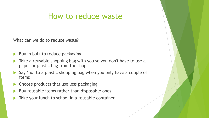#### How to reduce waste

What can we do to reduce waste?

- $\blacktriangleright$  Buy in bulk to reduce packaging
- Take a reusable shopping bag with you so you don't have to use a paper or plastic bag from the shop
- Say 'no' to a plastic shopping bag when you only have a couple of items
- **Choose products that use less packaging**
- Buy reusable items rather than disposable ones
- Take your lunch to school in a reusable container.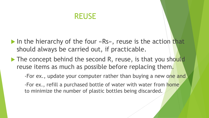#### REUSE

- In the hierarchy of the four  $\langle RS \rangle$ , reuse is the action that should always be carried out, if practicable.
- $\blacktriangleright$  The concept behind the second R, reuse, is that you should reuse items as much as possible before replacing them.

-For ex., update your computer rather than buying a new one and. -For ex., refill a purchased bottle of water with water from home to minimize the number of plastic bottles being discarded.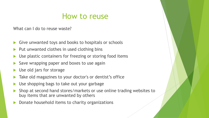#### How to reuse

What can I do to reuse waste?

- Give unwanted toys and books to hospitals or schools
- Put unwanted clothes in used clothing bins
- Use plastic containers for freezing or storing food items
- Save wrapping paper and boxes to use again
- Use old jars for storage
- Take old magazines to your doctor's or dentist's office
- Use shopping bags to take out your garbage
- Shop at second hand stores/markets or use online trading websites to buy items that are unwanted by others
- Donate household items to charity organizations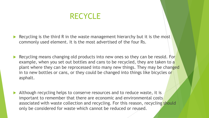#### **RECYCLE**

Recycling is the third R in the waste management hierarchy but it is the most commonly used element. It is the most advertised of the four Rs.

- Recycling means changing old products into new ones so they can be resold. For example, when you set out bottles and cans to be recycled, they are taken to a plant where they can be reprocessed into many new things. They may be changed in to new bottles or cans, or they could be changed into things like bicycles or asphalt.
- Although recycling helps to conserve resources and to reduce waste, it is important to remember that there are economic and environmental costs associated with waste collection and recycling. For this reason, recycling should only be considered for waste which cannot be reduced or reused.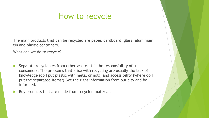#### How to recycle

The main products that can be recycled are paper, cardboard, glass, aluminium, tin and plastic containers.

What can we do to recycle?

- Separate recyclables from other waste. It is the responsibility of us consumers. The problems that arise with recycling are usually the lack of knowledge (do I put plastic with metal or not?) and accessibility (where do I put the separated items?) Get the right information from our city and be informed.
- Buy products that are made from recycled materials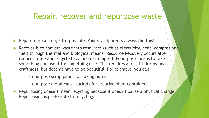#### Repair, recover and repurpose waste

- Repair a broken object if possible. Your grandparents always did this!
- Recover is to convert waste into resources (such as electricity, heat, compost and fuel) through thermal and biological means. Resource Recovery occurs after reduce, reuse and recycle have been attempted. Repurpose means to take something and use it for something else. This requires a bit of thinking and craftiness, but doesn't have to be beautiful. For example, you can

-repurpose scrap paper for taking notes

-repurpose metal cans, buckets for creative plant containers

Repurposing doesn't mean recycling because it doesn't cause a physical change. Repurposing is preferable to recycling.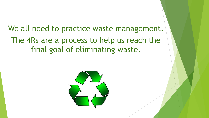#### We all need to practice waste management. The 4Rs are a process to help us reach the final goal of eliminating waste.

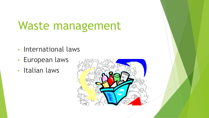### Waste management

- International laws
- European laws
- Italian laws

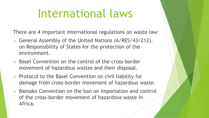### International laws

There are 4 important international regulations on waste law:

- ➢ General Assembly of the United Nations (A/RES/43/212), on Responsibility of States for the protection of the environment.
- ➢ Basel Convention on the control of the cross-border movement of hazardous wastes and their disposal.
- ➢ Protocol to the Basel Convention on civil liability for damage from cross-border movement of hazardous waste.
- ➢ Bamako Convention on the ban on importation and control of the cross-border movement of hazardous waste in Africa.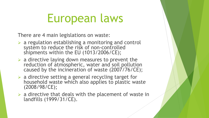### European laws

There are 4 main legislations on waste:

- $\triangleright$  a regulation establishing a monitoring and control system to reduce the risk of non-controlled shipments within the EU (1013/2006/CE);
- $\triangleright$  a directive laying down measures to prevent the reduction of atmospheric, water and soil pollution caused by the incineration of waste (2007/76/CE);
- ➢ a directive setting a general recycling target for household waste which also applies to plastic waste (2008/98/CE);
- $\triangleright$  a directive that deals with the placement of waste in landfills (1999/31/CE).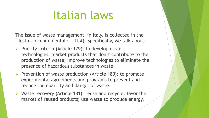### Italian laws

The issue of waste management, in Italy, is collected in the "Testo Unico Ambientale" (TUA). Specifically, we talk about:

- ➢ Priority criteria (Article 179): to develop clean technologies; market products that don't contribute to the production of waste; improve technologies to eliminate the presence of hazardous substances in waste.
- ➢ Prevention of waste production (Article 180): to promote experimental agreements and programs to prevent and reduce the quantity and danger of waste.
- ➢ Waste recovery (Article 181): reuse and recycle; favor the market of reused products; use waste to produce energy.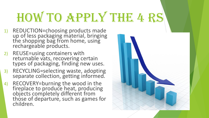# HOW TO APPLY THE 4 RS

- 1) REDUCTION=choosing products made up of less packaging material, bringing the shopping bag from home, using rechargeable products.
- 2) REUSE=using containers with returnable vats, recovering certain types of packaging, finding new uses.
- 3) RECYCLING=selecting waste, adopting separate collection, getting informed.
- 4) RECOVERY=burning the wood in the fireplace to produce heat, producing objects completely different from those of departure, such as games for children.

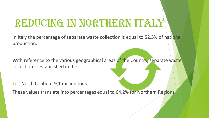### REDUCING IN NORTHERN ITALY

In Italy the percentage of separate waste collection is equal to 52,5% of national production.

With reference to the various geographical areas of the Country, separate waste collection is estabilished in the:

1) North to about 9,1 million tons

These values translate into percentages equal to 64,2% for Northern Regions.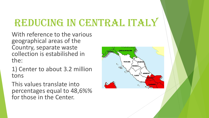### REDUCING IN CENTRAL ITALY

With reference to the various geographical areas of the Country, separate waste collection is estabilished in the:

1) Center to about 3.2 million tons

This values translate into percentages equal to 48,6%% for those in the Center.

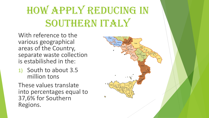### How apply reducing in SOUTHERN ITALY

With reference to the various geographical areas of the Country, separate waste collection is estabilished in the:

1) South to about 3.5 million tons

These values translate into percentages equal to 37,6% for Southern Regions.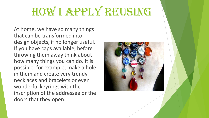## HOW I APPLY REUSING

At home, we have so many things that can be transformed into design objects, if no longer useful. If you have caps available, before throwing them away think about how many things you can do. It is possible, for example, make a hole in them and create very trendy necklaces and bracelets or even wonderful keyrings with the inscription of the addressee or the doors that they open.

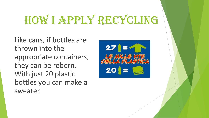# HOW I APPLY RECYCLING

Like cans, if bottles are thrown into the appropriate containers, they can be reborn. With just 20 plastic bottles you can make a sweater.

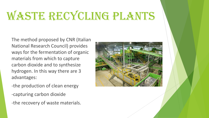### WASTE RECYCLING PLANTS

The method proposed by CNR (Italian National Research Council) provides ways for the fermentation of organic materials from which to capture carbon dioxide and to synthesize hydrogen. In this way there are 3 advantages:

- -the production of clean energy
- -capturing carbon dioxide
- -the recovery of waste materials.

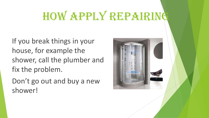### HOW APPLY REPAIRING

If you break things in your house, for example the shower, call the plumber and fix the problem.

Don't go out and buy a new shower!

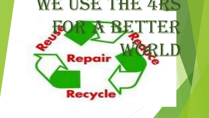